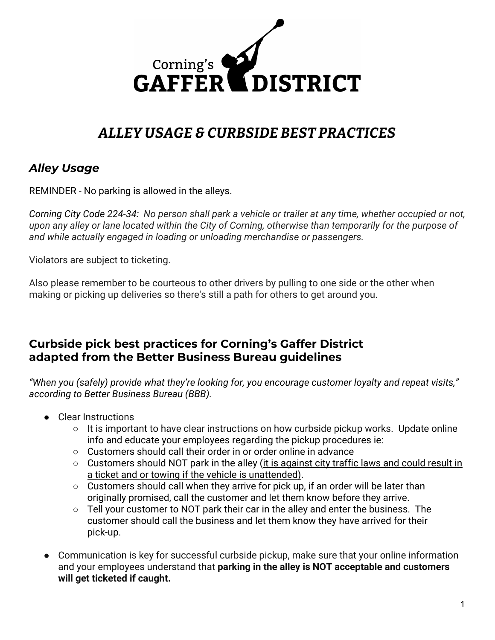

## *ALLEY USAGE & CURBSIDE BEST PRACTICES*

## *Alley Usage*

REMINDER - No parking is allowed in the alleys.

*Corning City Code 224-34: No person shall park a vehicle or trailer at any time, whether occupied or not, upon any alley or lane located within the City of Corning, otherwise than temporarily for the purpose of and while actually engaged in loading or unloading merchandise or passengers.*

Violators are subject to ticketing.

Also please remember to be courteous to other drivers by pulling to one side or the other when making or picking up deliveries so there's still a path for others to get around you.

## **Curbside pick best practices for Corning's Gaffer District adapted from the Better Business Bureau guidelines**

*"When you (safely) provide what they're looking for, you encourage customer loyalty and repeat visits," according to Better Business Bureau (BBB).*

- Clear Instructions
	- $\circ$  It is important to have clear instructions on how curbside pickup works. Update online info and educate your employees regarding the pickup procedures ie:
	- Customers should call their order in or order online in advance
	- Customers should NOT park in the alley (it is against city traffic laws and could result in a ticket and or towing if the vehicle is unattended).
	- Customers should call when they arrive for pick up, if an order will be later than originally promised, call the customer and let them know before they arrive.
	- Tell your customer to NOT park their car in the alley and enter the business. The customer should call the business and let them know they have arrived for their pick-up.
- Communication is key for successful curbside pickup, make sure that your online information and your employees understand that **parking in the alley is NOT acceptable and customers will get ticketed if caught.**